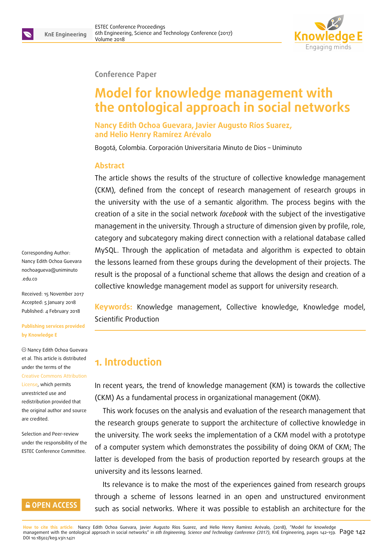

#### **Conference Paper**

# **Model for knowledge management with the ontological approach in social networks**

**Nancy Edith Ochoa Guevara, Javier Augusto Ríos Suarez, and Helio Henry Ramírez Arévalo**

Bogotá, Colombia. Corporación Universitaria Minuto de Dios – Uniminuto

#### **Abstract**

The article shows the results of the structure of collective knowledge management (CKM), defined from the concept of research management of research groups in the university with the use of a semantic algorithm. The process begins with the creation of a site in the social network *facebook* with the subject of the investigative management in the university. Through a structure of dimension given by profile, role, category and subcategory making direct connection with a relational database called MySQL. Through the application of metadata and algorithm is expected to obtain the lessons learned from these groups during the development of their projects. The result is the proposal of a functional scheme that allows the design and creation of a collective knowledge management model as support for university research.

**Keywords:** Knowledge management, Collective knowledge, Knowledge model, Scientific Production

# **1. Introduction**

In recent years, the trend of knowledge management (KM) is towards the collective (CKM) As a fundamental process in organizational management (OKM).

This work focuses on the analysis and evaluation of the research management that the research groups generate to support the architecture of collective knowledge in the university. The work seeks the implementation of a CKM model with a prototype of a computer system which demonstrates the possibility of doing OKM of CKM; The latter is developed from the basis of production reported by research groups at the university and its lessons learned.

Its relevance is to make the most of the experiences gained from research groups through a scheme of lessons learned in an open and unstructured environment such as social networks. Where it was possible to establish an architecture for the

Corresponding Author: Nancy Edith Ochoa Guevara nochoagueva@uniminuto .edu.co

Received: 15 November 2017 [Accepted: 5 January 2018](mailto:nochoagueva@uniminuto.edu.co) [Publishe](mailto:nochoagueva@uniminuto.edu.co)d: 4 February 2018

**Publishing services provided by Knowledge E**

Nancy Edith Ochoa Guevara et al. This article is distributed under the terms of the Creative Commons Attribution License, which permits unrestricted use and redistribution provided that [the original author and source](https://creativecommons.org/licenses/by/4.0/) [are cred](https://creativecommons.org/licenses/by/4.0/)ited.

Selection and Peer-review under the responsibility of the ESTEC Conference Committee.

#### **GOPEN ACCESS**

**How to cite this article**: Nancy Edith Ochoa Guevara, Javier Augusto Ríos Suarez, and Helio Henry Ramírez Arévalo, (2018), "Model for knowledge management with the ontological approach in social networks" in *6th Engineering, Science and Technology Conference (2017)*, KnE Engineering, pages 142–159. Page 142 DOI 10.18502/keg.v3i1.1421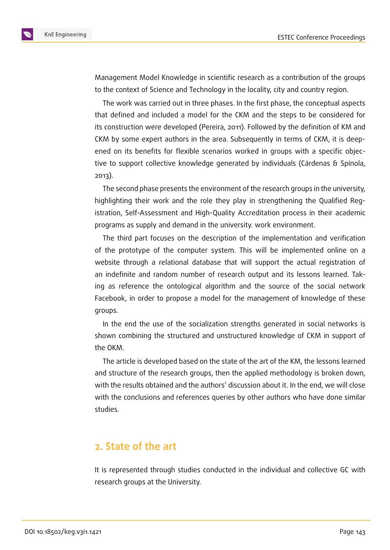

Management Model Knowledge in scientific research as a contribution of the groups to the context of Science and Technology in the locality, city and country region.

The work was carried out in three phases. In the first phase, the conceptual aspects that defined and included a model for the CKM and the steps to be considered for its construction were developed (Pereira, 2011). Followed by the definition of KM and CKM by some expert authors in the area. Subsequently in terms of CKM, it is deepened on its benefits for flexible scenarios worked in groups with a specific objective to support collective knowledge generated by individuals (Cárdenas & Spínola, 2013).

The second phase presents the environment of the research groups in the university, highlighting their work and the role they play in strengthening the Qualified Registration, Self-Assessment and High-Quality Accreditation process in their academic programs as supply and demand in the university. work environment.

The third part focuses on the description of the implementation and verification of the prototype of the computer system. This will be implemented online on a website through a relational database that will support the actual registration of an indefinite and random number of research output and its lessons learned. Taking as reference the ontological algorithm and the source of the social network Facebook, in order to propose a model for the management of knowledge of these groups.

In the end the use of the socialization strengths generated in social networks is shown combining the structured and unstructured knowledge of CKM in support of the OKM.

The article is developed based on the state of the art of the KM, the lessons learned and structure of the research groups, then the applied methodology is broken down, with the results obtained and the authors' discussion about it. In the end, we will close with the conclusions and references queries by other authors who have done similar studies.

# **2. State of the art**

It is represented through studies conducted in the individual and collective GC with research groups at the University.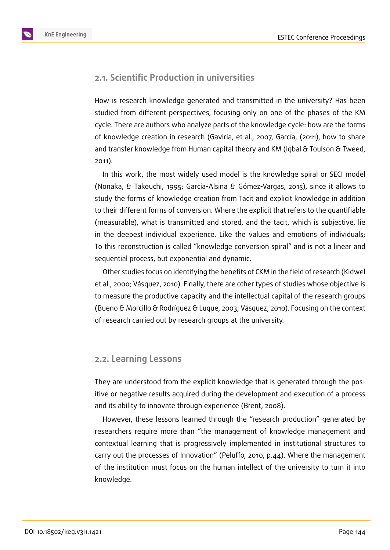

#### **2.1. Scientific Production in universities**

How is research knowledge generated and transmitted in the university? Has been studied from different perspectives, focusing only on one of the phases of the KM cycle. There are authors who analyze parts of the knowledge cycle: how are the forms of knowledge creation in research (Gaviria, et al., 2007, García, (2011), how to share and transfer knowledge from Human capital theory and KM (Iqbal & Toulson & Tweed, 2011).

In this work, the most widely used model is the knowledge spiral or SECI model (Nonaka, & Takeuchi, 1995; García-Alsina & Gómez-Vargas, 2015), since it allows to study the forms of knowledge creation from Tacit and explicit knowledge in addition to their different forms of conversion. Where the explicit that refers to the quantifiable (measurable), what is transmitted and stored, and the tacit, which is subjective, lie in the deepest individual experience. Like the values and emotions of individuals; To this reconstruction is called "knowledge conversion spiral" and is not a linear and sequential process, but exponential and dynamic.

Other studies focus on identifying the benefits of CKM in the field of research (Kidwel et al., 2000; Vásquez, 2010). Finally, there are other types of studies whose objective is to measure the productive capacity and the intellectual capital of the research groups (Bueno & Morcillo & Rodríguez & Luque, 2003; Vásquez, 2010). Focusing on the context of research carried out by research groups at the university.

#### **2.2. Learning Lessons**

They are understood from the explicit knowledge that is generated through the positive or negative results acquired during the development and execution of a process and its ability to innovate through experience (Brent, 2008).

However, these lessons learned through the "research production" generated by researchers require more than "the management of knowledge management and contextual learning that is progressively implemented in institutional structures to carry out the processes of Innovation" (Peluffo, 2010, p.44). Where the management of the institution must focus on the human intellect of the university to turn it into knowledge.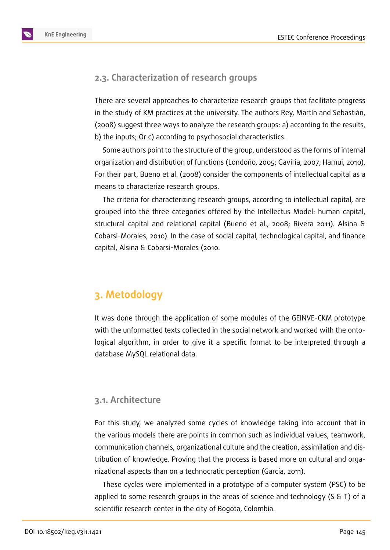

### **2.3. Characterization of research groups**

There are several approaches to characterize research groups that facilitate progress in the study of KM practices at the university. The authors Rey, Martín and Sebastián, (2008) suggest three ways to analyze the research groups: a) according to the results, b) the inputs; Or c) according to psychosocial characteristics.

Some authors point to the structure of the group, understood as the forms of internal organization and distribution of functions (Londoño, 2005; Gaviria, 2007; Hamui, 2010). For their part, Bueno et al. (2008) consider the components of intellectual capital as a means to characterize research groups.

The criteria for characterizing research groups, according to intellectual capital, are grouped into the three categories offered by the Intellectus Model: human capital, structural capital and relational capital (Bueno et al., 2008; Rivera 2011). Alsina & Cobarsi-Morales, 2010). In the case of social capital, technological capital, and finance capital, Alsina & Cobarsi-Morales (2010.

# **3. Metodology**

It was done through the application of some modules of the GEINVE-CKM prototype with the unformatted texts collected in the social network and worked with the ontological algorithm, in order to give it a specific format to be interpreted through a database MySQL relational data.

#### **3.1. Architecture**

For this study, we analyzed some cycles of knowledge taking into account that in the various models there are points in common such as individual values, teamwork, communication channels, organizational culture and the creation, assimilation and distribution of knowledge. Proving that the process is based more on cultural and organizational aspects than on a technocratic perception (García, 2011).

These cycles were implemented in a prototype of a computer system (PSC) to be applied to some research groups in the areas of science and technology (S & T) of a scientific research center in the city of Bogota, Colombia.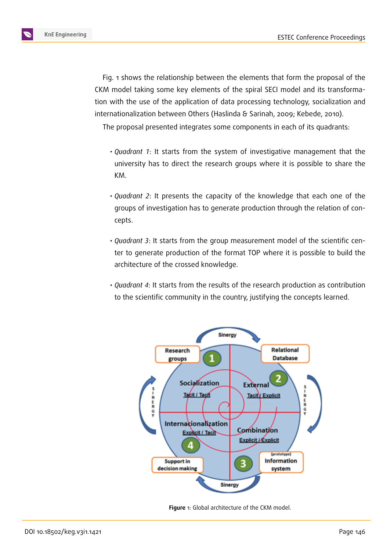

Fig. 1 shows the relationship between the elements that form the proposal of the CKM model taking some key elements of the spiral SECI model and its transformation with the use of the application of data processing technology, socialization and internationalization between Others (Haslinda & Sarinah, 2009; Kebede, 2010).

The proposal presented integrates some components in each of its quadrants:

- *Quadrant 1*: It starts from the system of investigative management that the university has to direct the research groups where it is possible to share the KM.
- *Quadrant 2*: It presents the capacity of the knowledge that each one of the groups of investigation has to generate production through the relation of concepts.
- *Quadrant 3*: It starts from the group measurement model of the scientific center to generate production of the format TOP where it is possible to build the architecture of the crossed knowledge.
- *Quadrant 4*: It starts from the results of the research production as contribution to the scientific community in the country, justifying the concepts learned.



**Figure** 1: Global architecture of the CKM model.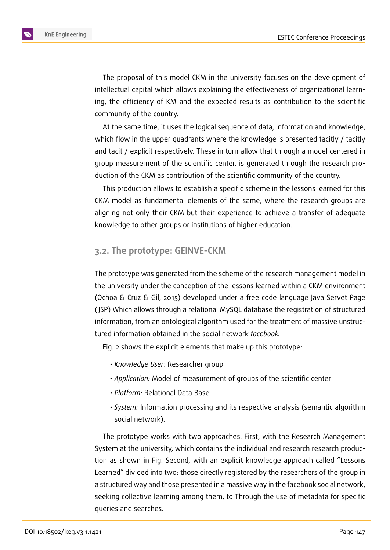

The proposal of this model CKM in the university focuses on the development of intellectual capital which allows explaining the effectiveness of organizational learning, the efficiency of KM and the expected results as contribution to the scientific community of the country.

At the same time, it uses the logical sequence of data, information and knowledge, which flow in the upper quadrants where the knowledge is presented tacitly / tacitly and tacit / explicit respectively. These in turn allow that through a model centered in group measurement of the scientific center, is generated through the research production of the CKM as contribution of the scientific community of the country.

This production allows to establish a specific scheme in the lessons learned for this CKM model as fundamental elements of the same, where the research groups are aligning not only their CKM but their experience to achieve a transfer of adequate knowledge to other groups or institutions of higher education.

#### **3.2. The prototype: GEINVE-CKM**

The prototype was generated from the scheme of the research management model in the university under the conception of the lessons learned within a CKM environment (Ochoa & Cruz & Gil, 2015) developed under a free code language Java Servet Page ( JSP) Which allows through a relational MySQL database the registration of structured information, from an ontological algorithm used for the treatment of massive unstructured information obtained in the social network *facebook.*

Fig. 2 shows the explicit elements that make up this prototype:

- *Knowledge User*: Researcher group
- *Application:* Model of measurement of groups of the scientific center
- *Platform:* Relational Data Base
- *System:* Information processing and its respective analysis (semantic algorithm social network).

The prototype works with two approaches. First, with the Research Management System at the university, which contains the individual and research research production as shown in Fig. Second, with an explicit knowledge approach called "Lessons Learned" divided into two: those directly registered by the researchers of the group in a structured way and those presented in a massive way in the facebook social network, seeking collective learning among them, to Through the use of metadata for specific queries and searches.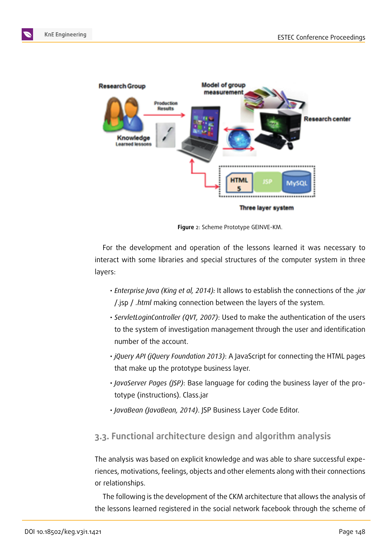

**Figure** 2: Scheme Prototype GEINVE-KM.

For the development and operation of the lessons learned it was necessary to interact with some libraries and special structures of the computer system in three layers:

- *Enterprise Java (King et al, 2014):* It allows to establish the connections of the *.jar* /.jsp / *.html* making connection between the layers of the system.
- *ServletLoginController (QVT, 2007)*: Used to make the authentication of the users to the system of investigation management through the user and identification number of the account.
- *jQuery API (jQuery Foundation 2013)*: A JavaScript for connecting the HTML pages that make up the prototype business layer.
- *JavaServer Pages (JSP)*: Base language for coding the business layer of the prototype (instructions). Class.jar
- *JavaBean (JavaBean, 2014)*. JSP Business Layer Code Editor.

## **3.3. Functional architecture design and algorithm analysis**

The analysis was based on explicit knowledge and was able to share successful experiences, motivations, feelings, objects and other elements along with their connections or relationships.

The following is the development of the CKM architecture that allows the analysis of the lessons learned registered in the social network facebook through the scheme of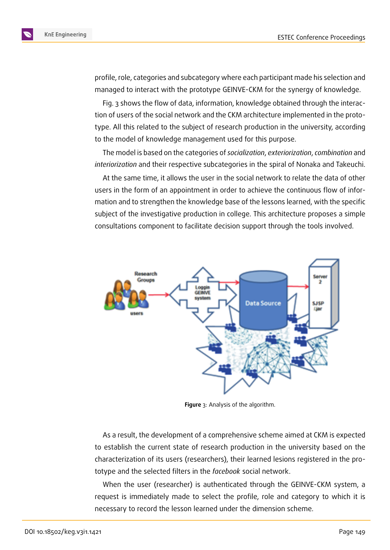

profile, role, categories and subcategory where each participant made his selection and managed to interact with the prototype GEINVE-CKM for the synergy of knowledge.

Fig. 3 shows the flow of data, information, knowledge obtained through the interaction of users of the social network and the CKM architecture implemented in the prototype. All this related to the subject of research production in the university, according to the model of knowledge management used for this purpose.

The model is based on the categories of *socialization*, *exteriorization*, *combination* and *interiorization* and their respective subcategories in the spiral of Nonaka and Takeuchi.

At the same time, it allows the user in the social network to relate the data of other users in the form of an appointment in order to achieve the continuous flow of information and to strengthen the knowledge base of the lessons learned, with the specific subject of the investigative production in college. This architecture proposes a simple consultations component to facilitate decision support through the tools involved.



**Figure** 3: Analysis of the algorithm.

As a result, the development of a comprehensive scheme aimed at CKM is expected to establish the current state of research production in the university based on the characterization of its users (researchers), their learned lesions registered in the prototype and the selected filters in the *facebook* social network.

When the user (researcher) is authenticated through the GEINVE-CKM system, a request is immediately made to select the profile, role and category to which it is necessary to record the lesson learned under the dimension scheme.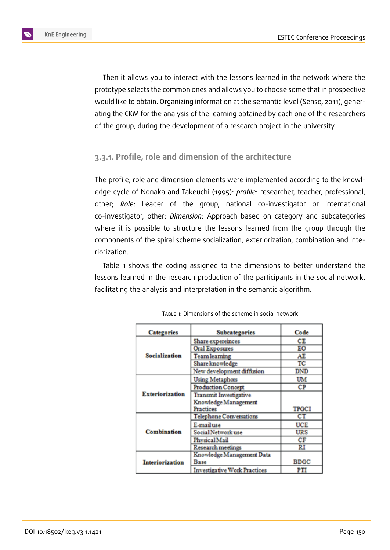

Then it allows you to interact with the lessons learned in the network where the prototype selects the common ones and allows you to choose some that in prospective would like to obtain. Organizing information at the semantic level (Senso, 2011), generating the CKM for the analysis of the learning obtained by each one of the researchers of the group, during the development of a research project in the university.

#### **3.3.1. Profile, role and dimension of the architecture**

The profile, role and dimension elements were implemented according to the knowledge cycle of Nonaka and Takeuchi (1995): *profile*: researcher, teacher, professional, other; *Role*: Leader of the group, national co-investigator or international co-investigator, other; *Dimension*: Approach based on category and subcategories where it is possible to structure the lessons learned from the group through the components of the spiral scheme socialization, exteriorization, combination and interiorization.

Table 1 shows the coding assigned to the dimensions to better understand the lessons learned in the research production of the participants in the social network, facilitating the analysis and interpretation in the semantic algorithm.

| <b>Categories</b>      | Subcategories                       | Code         |
|------------------------|-------------------------------------|--------------|
| Socialization          | <b>Share expereinces</b>            | СE           |
|                        | <b>Oral Exposures</b>               | EО           |
|                        | <b>Teamleaming</b>                  | AE           |
|                        | Share knowledge                     | TC           |
|                        | New development diffusion           | DND          |
| Exteriorization        | <b>Using Metaphors</b>              | UM           |
|                        | Production Concept                  | СP           |
|                        | <b>Transmit Investigative</b>       |              |
|                        | Knowledge Management                |              |
|                        | Practices                           | <b>TPGCI</b> |
| Combination            | <b>Telephone Conversations</b>      | СT           |
|                        | E-mail use                          | <b>UCE</b>   |
|                        | Social Network use                  | URS          |
|                        | Physical Mail                       | СF           |
|                        | <b>Research meetings</b>            | RI           |
| <b>Interiorization</b> | Knowledge Management Data           |              |
|                        | Base                                | <b>BDGC</b>  |
|                        | <b>Investigative Work Practices</b> | PTI          |

TABLE 1: Dimensions of the scheme in social network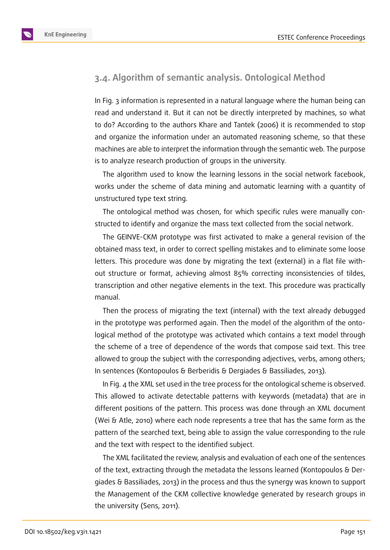

### **3.4. Algorithm of semantic analysis. Ontological Method**

In Fig. 3 information is represented in a natural language where the human being can read and understand it. But it can not be directly interpreted by machines, so what to do? According to the authors Khare and Tantek (2006) it is recommended to stop and organize the information under an automated reasoning scheme, so that these machines are able to interpret the information through the semantic web. The purpose is to analyze research production of groups in the university.

The algorithm used to know the learning lessons in the social network facebook, works under the scheme of data mining and automatic learning with a quantity of unstructured type text string.

The ontological method was chosen, for which specific rules were manually constructed to identify and organize the mass text collected from the social network.

The GEINVE-CKM prototype was first activated to make a general revision of the obtained mass text, in order to correct spelling mistakes and to eliminate some loose letters. This procedure was done by migrating the text (external) in a flat file without structure or format, achieving almost 85% correcting inconsistencies of tildes, transcription and other negative elements in the text. This procedure was practically manual.

Then the process of migrating the text (internal) with the text already debugged in the prototype was performed again. Then the model of the algorithm of the ontological method of the prototype was activated which contains a text model through the scheme of a tree of dependence of the words that compose said text. This tree allowed to group the subject with the corresponding adjectives, verbs, among others; In sentences (Kontopoulos & Berberidis & Dergiades & Bassiliades, 2013).

In Fig. 4 the XML set used in the tree process for the ontological scheme is observed. This allowed to activate detectable patterns with keywords (metadata) that are in different positions of the pattern. This process was done through an XML document (Wei & Atle, 2010) where each node represents a tree that has the same form as the pattern of the searched text, being able to assign the value corresponding to the rule and the text with respect to the identified subject.

The XML facilitated the review, analysis and evaluation of each one of the sentences of the text, extracting through the metadata the lessons learned (Kontopoulos & Dergiades & Bassiliades, 2013) in the process and thus the synergy was known to support the Management of the CKM collective knowledge generated by research groups in the university (Sens, 2011).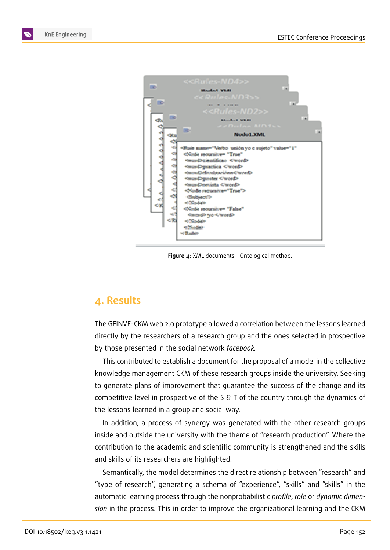



**Figure** 4: XML documents - Ontological method.

# **4. Results**

The GEINVE-CKM web 2.0 prototype allowed a correlation between the lessons learned directly by the researchers of a research group and the ones selected in prospective by those presented in the social network *facebook.*

This contributed to establish a document for the proposal of a model in the collective knowledge management CKM of these research groups inside the university. Seeking to generate plans of improvement that guarantee the success of the change and its competitive level in prospective of the S & T of the country through the dynamics of the lessons learned in a group and social way.

In addition, a process of synergy was generated with the other research groups inside and outside the university with the theme of "research production". Where the contribution to the academic and scientific community is strengthened and the skills and skills of its researchers are highlighted.

Semantically, the model determines the direct relationship between "research" and "type of research", generating a schema of "experience", "skills" and "skills" in the automatic learning process through the nonprobabilistic *profile*, *role* or *dynamic dimension* in the process. This in order to improve the organizational learning and the CKM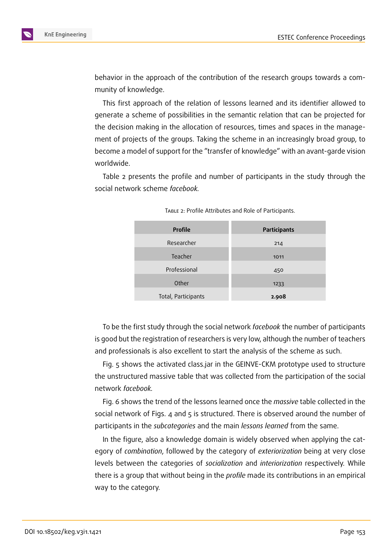

behavior in the approach of the contribution of the research groups towards a community of knowledge.

This first approach of the relation of lessons learned and its identifier allowed to generate a scheme of possibilities in the semantic relation that can be projected for the decision making in the allocation of resources, times and spaces in the management of projects of the groups. Taking the scheme in an increasingly broad group, to become a model of support for the "transfer of knowledge" with an avant-garde vision worldwide.

Table 2 presents the profile and number of participants in the study through the social network scheme *facebook.*

| <b>Profile</b>      | Participants |
|---------------------|--------------|
| Researcher          | 214          |
| Teacher             | 1011         |
| Professional        | 450          |
| Other               | 1233         |
| Total, Participants | 2.908        |
|                     |              |

TABLE 2: Profile Attributes and Role of Participants.

To be the first study through the social network *facebook* the number of participants is good but the registration of researchers is very low, although the number of teachers and professionals is also excellent to start the analysis of the scheme as such.

Fig. 5 shows the activated class.jar in the GEINVE-CKM prototype used to structure the unstructured massive table that was collected from the participation of the social network *facebook.*

Fig. 6 shows the trend of the lessons learned once the *massive* table collected in the social network of Figs. 4 and 5 is structured. There is observed around the number of participants in the *subcategories* and the main *lessons learned* from the same.

In the figure, also a knowledge domain is widely observed when applying the category of *combination*, followed by the category of *exteriorization* being at very close levels between the categories of *socialization* and *interiorization* respectively. While there is a group that without being in the *profile* made its contributions in an empirical way to the category.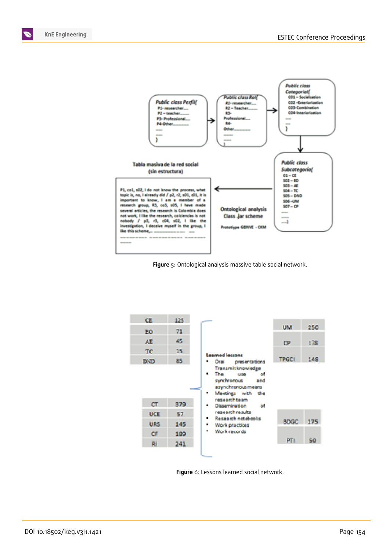







**Figure** 6: Lessons learned social network.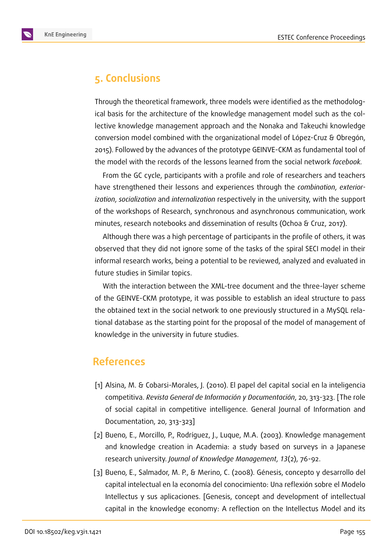

# **5. Conclusions**

Through the theoretical framework, three models were identified as the methodological basis for the architecture of the knowledge management model such as the collective knowledge management approach and the Nonaka and Takeuchi knowledge conversion model combined with the organizational model of López-Cruz & Obregón, 2015). Followed by the advances of the prototype GEINVE-CKM as fundamental tool of the model with the records of the lessons learned from the social network *facebook.*

From the GC cycle, participants with a profile and role of researchers and teachers have strengthened their lessons and experiences through the *combination*, *exteriorization*, *socialization* and *internalization* respectively in the university, with the support of the workshops of Research, synchronous and asynchronous communication, work minutes, research notebooks and dissemination of results (Ochoa & Cruz, 2017).

Although there was a high percentage of participants in the profile of others, it was observed that they did not ignore some of the tasks of the spiral SECI model in their informal research works, being a potential to be reviewed, analyzed and evaluated in future studies in Similar topics.

With the interaction between the XML-tree document and the three-layer scheme of the GEINVE-CKM prototype, it was possible to establish an ideal structure to pass the obtained text in the social network to one previously structured in a MySQL relational database as the starting point for the proposal of the model of management of knowledge in the university in future studies.

# **References**

- [1] Alsina, M. & Cobarsi-Morales, J. (2010). El papel del capital social en la inteligencia competitiva. *Revista General de Información y Documentación*, 20, 313-323. [The role of social capital in competitive intelligence. General Journal of Information and Documentation, 20, 313-323]
- [2] Bueno, E., Morcillo, P., Rodríguez, J., Luque, M.A. (2003). Knowledge management and knowledge creation in Academia: a study based on surveys in a Japanese research university. *Journal of Knowledge Management*, *13*(2), 76-92.
- [3] Bueno, E., Salmador, M. P., & Merino, C. (2008). Génesis, concepto y desarrollo del capital intelectual en la economía del conocimiento: Una reflexión sobre el Modelo Intellectus y sus aplicaciones. [Genesis, concept and development of intellectual capital in the knowledge economy: A reflection on the Intellectus Model and its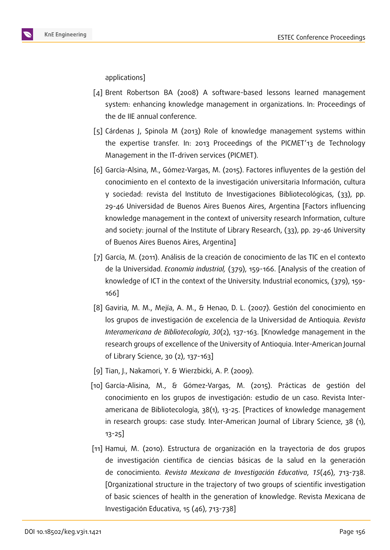

applications]

- [4] Brent Robertson BA (2008) A software-based lessons learned management system: enhancing knowledge management in organizations. In: Proceedings of the de IIE annual conference.
- [5] Cárdenas J, Spinola M (2013) Role of knowledge management systems within the expertise transfer. In: 2013 Proceedings of the PICMET'13 de Technology Management in the IT-driven services (PICMET).
- [6] García-Alsina, M., Gómez-Vargas, M. (2015). Factores influyentes de la gestión del conocimiento en el contexto de la investigación universitaria Información, cultura y sociedad: revista del Instituto de Investigaciones Bibliotecológicas, (33), pp. 29-46 Universidad de Buenos Aires Buenos Aires, Argentina [Factors influencing knowledge management in the context of university research Information, culture and society: journal of the Institute of Library Research, (33), pp. 29-46 University of Buenos Aires Buenos Aires, Argentina]
- [7] García, M. (2011). Análisis de la creación de conocimiento de las TIC en el contexto de la Universidad. *Economía industrial,* (379), 159-166. [Analysis of the creation of knowledge of ICT in the context of the University. Industrial economics, (379), 159- 166]
- [8] Gaviria, M. M., Mejía, A. M., & Henao, D. L. (2007). Gestión del conocimiento en los grupos de investigación de excelencia de la Universidad de Antioquia*. Revista Interamericana de Bibliotecología*, *30*(2), 137-163. [Knowledge management in the research groups of excellence of the University of Antioquia. Inter-American Journal of Library Science, 30 (2), 137-163]
- [9] Tian, J., Nakamori, Y. & Wierzbicki, A. P. (2009).
- [10] García-Alisina, M., & Gómez-Vargas, M. (2015). Prácticas de gestión del conocimiento en los grupos de investigación: estudio de un caso. Revista Interamericana de Bibliotecología, 38(1), 13-25. [Practices of knowledge management in research groups: case study. Inter-American Journal of Library Science, 38 (1), 13-25]
- [11] Hamui, M. (2010). Estructura de organización en la trayectoria de dos grupos de investigación científica de ciencias básicas de la salud en la generación de conocimiento*. Revista Mexicana de Investigación Educativa*, *15*(46), 713-738. [Organizational structure in the trajectory of two groups of scientific investigation of basic sciences of health in the generation of knowledge. Revista Mexicana de Investigación Educativa, 15 (46), 713-738]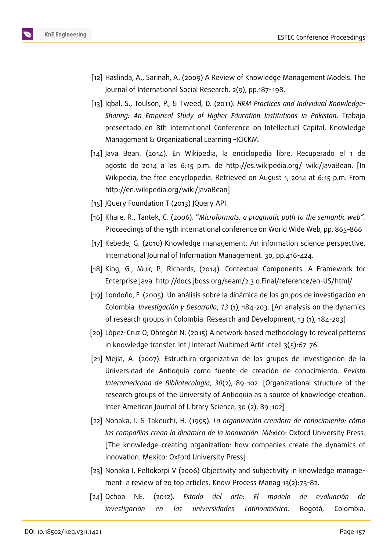

- [12] Haslinda, A., Sarinah, A. (2009) A Review of Knowledge Management Models. The Journal of International Social Research. 2(9), pp.187-198.
- [13] Iqbal, S., Toulson, P., & Tweed, D. (2011). *HRM Practices and Individual Knowledge-Sharing: An Empirical Study of Higher Education Institutions in Pakistan*. Trabajo presentado en 8th International Conference on Intellectual Capital, Knowledge Management & Organizational Learning –ICICKM.
- [14] Java Bean. (2014). En Wikipedia, la enciclopedia libre. Recuperado el 1 de agosto de 2014 a las 6:15 p.m. de http://es.wikipedia.org/ wiki/JavaBean. [In Wikipedia, the free encyclopedia. Retrieved on August 1, 2014 at 6:15 p.m. From http://en.wikipedia.org/wiki/JavaBean]
- [15] JQuery Foundation T (2013) JQuery API.
- [16] Khare, R., Tantek, C. (2006). "*Microformats: a pragmatic path to the semantic web".* Proceedings of the 15th international conference on World Wide Web, pp. 865–866
- [17] Kebede, G. (2010) Knowledge management: An information science perspective. International Journal of Information Management. 30, pp.416-424.
- [18] King, G., Muir, P., Richards, (2014). Contextual Components. A Framework for Enterprise Java. http://docs.jboss.org/seam/2.3.0.Final/reference/en-US/html/
- [19] Londoño, F. (2005). Un análisis sobre la dinámica de los grupos de investigación en Colombia*. Investigación y Desarrollo*, *13* (1), 184-203. [An analysis on the dynamics of research groups in Colombia. Research and Development, 13 (1), 184-203]
- [20] López-Cruz O, Obregón N. (2015) A network based methodology to reveal patterns in knowledge transfer. Int J Interact Multimed Artif Intell 3(5):67–76.
- [21] Mejía, A. (2007). Estructura organizativa de los grupos de investigación de la Universidad de Antioquia como fuente de creación de conocimiento. *Revista Interamericana de Bibliotecología*, *30*(2), 89-102. [Organizational structure of the research groups of the University of Antioquia as a source of knowledge creation. Inter-American Journal of Library Science, 30 (2), 89-102]
- [22] Nonaka, I. & Takeuchi, H. (1995). *La organización creadora de conocimiento: cómo las compañías crean la dinámica de la innovación*. México: Oxford University Press. [The knowledge-creating organization: how companies create the dynamics of innovation. Mexico: Oxford University Press]
- [23] Nonaka I, Peltokorpi V (2006) Objectivity and subjectivity in knowledge management: a review of 20 top articles. Know Process Manag 13(2):73–82.
- [24] Ochoa NE. (2012). *Estado del arte: El modelo de evaluación de investigación en las universidades Latinoamérica*. Bogotá, Colombia.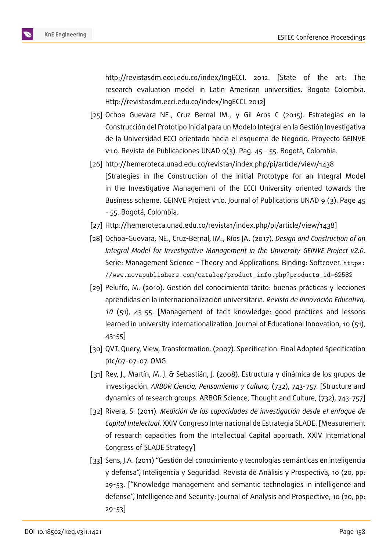http://revistasdm.ecci.edu.co/index/IngECCI. 2012. [State of the art: The research evaluation model in Latin American universities. Bogota Colombia. Http://revistasdm.ecci.edu.co/index/IngECCI. 2012]

- [25] Ochoa Guevara NE., Cruz Bernal IM., y Gil Aros C (2015). Estrategias en la Construcción del Prototipo Inicial para un Modelo Integral en la Gestión Investigativa de la Universidad ECCI orientado hacia el esquema de Negocio. Proyecto GEINVE v1.0. Revista de Publicaciones UNAD 9(3). Pag. 45 – 55. Bogotá, Colombia.
- [26] http://hemeroteca.unad.edu.co/revista1/index.php/pi/article/view/1438 [Strategies in the Construction of the Initial Prototype for an Integral Model in the Investigative Management of the ECCI University oriented towards the Business scheme. GEINVE Project v1.0. Journal of Publications UNAD 9 (3). Page 45 - 55. Bogotá, Colombia.
- [27] Http://hemeroteca.unad.edu.co/revista1/index.php/pi/article/view/1438]
- [28] Ochoa-Guevara, NE., Cruz-Bernal, IM., Ríos JA. (2017). *Design and Construction of an Integral Model for Investigative Management in the University GEINVE Project v2.0.* Serie: Management Science – Theory and Applications. Binding: Softcover. https: //www.novapublishers.com/catalog/product\_info.php?products\_id=62582
- [29] Peluffo, M. (2010). Gestión del conocimiento tácito: buenas prácticas y lecciones aprendidas en la internacionalización universitaria. *Revista de Innovación Ed[ucativa,](https://www.novapublishers.com/catalog/product_info.php?products_id=62582) 10* [\(51\), 43–55. \[Management of tacit knowledge: good practices and less](https://www.novapublishers.com/catalog/product_info.php?products_id=62582)ons learned in university internationalization. Journal of Educational Innovation, 10 (51), 43-55]
- [30] QVT. Query, View, Transformation. (2007). Specification. Final Adopted Specification ptc/07-07-07. OMG.
- [31] Rey, J., Martín, M. J. & Sebastián, J. (2008). Estructura y dinámica de los grupos de investigación. *ARBOR Ciencia, Pensamiento y Cultura,* (732), 743-757. [Structure and dynamics of research groups. ARBOR Science, Thought and Culture, (732), 743-757]
- [32] Rivera, S. (2011). *Medición de las capacidades de investigación desde el enfoque de Capital Intelectual*. XXIV Congreso Internacional de Estrategia SLADE. [Measurement of research capacities from the Intellectual Capital approach. XXIV International Congress of SLADE Strategy]
- [33] Sens, J.A. (2011) "Gestión del conocimiento y tecnologías semánticas en inteligencia y defensa", Inteligencia y Seguridad: Revista de Análisis y Prospectiva, 10 (20, pp: 29-53. ["Knowledge management and semantic technologies in intelligence and defense", Intelligence and Security: Journal of Analysis and Prospective, 10 (20, pp: 29-53]